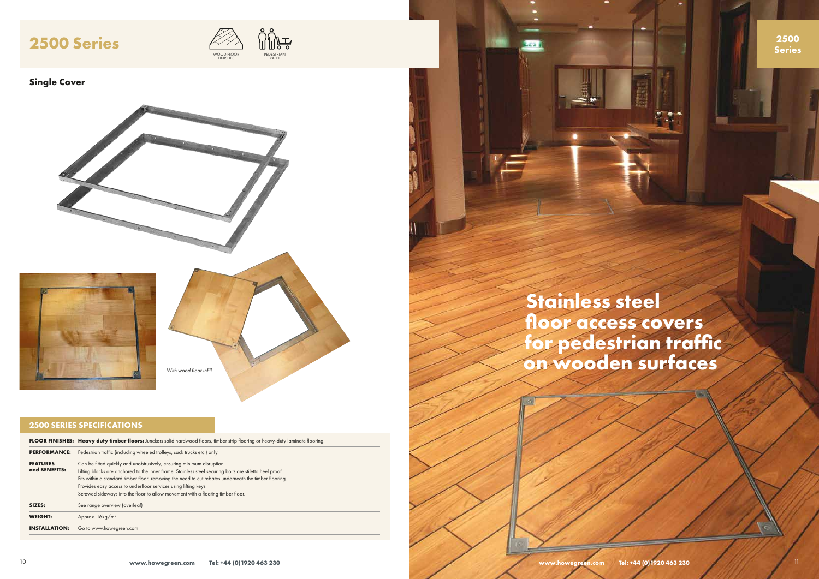

## **2500 SERIES SPECIFICATIONS**

|                                  | <b>FLOOR FINISHES: Heavy duty timber floors:</b> Junckers solid hardwood floors, timber strip flooring or heavy-duty laminate flooring.                                                                                                                                                                                                                                                                                                         |
|----------------------------------|-------------------------------------------------------------------------------------------------------------------------------------------------------------------------------------------------------------------------------------------------------------------------------------------------------------------------------------------------------------------------------------------------------------------------------------------------|
| <b>PERFORMANCE:</b>              | Pedestrian traffic (including wheeled trolleys, sack trucks etc.) only.                                                                                                                                                                                                                                                                                                                                                                         |
| <b>FEATURES</b><br>and BENEFITS: | Can be fitted quickly and unobtrusively, ensuring minimum disruption.<br>Lifting blocks are anchored to the inner frame. Stainless steel securing bolts are stiletto heel proof.<br>Fits within a standard timber floor, removing the need to cut rebates underneath the timber flooring.<br>Provides easy access to underfloor services using lifting keys.<br>Screwed sideways into the floor to allow movement with a floating timber floor. |
| SIZES:                           | See range overview (overleaf)                                                                                                                                                                                                                                                                                                                                                                                                                   |
| <b>WEIGHT:</b>                   | Approx. $16\text{kg/m}^2$ .                                                                                                                                                                                                                                                                                                                                                                                                                     |
| <b>INSTALLATION:</b>             | Go to www.howegreen.com                                                                                                                                                                                                                                                                                                                                                                                                                         |

**Stainless steel floor access covers** 

# **for pedestrian traffic on wooden surfaces**

## **Single Cover**



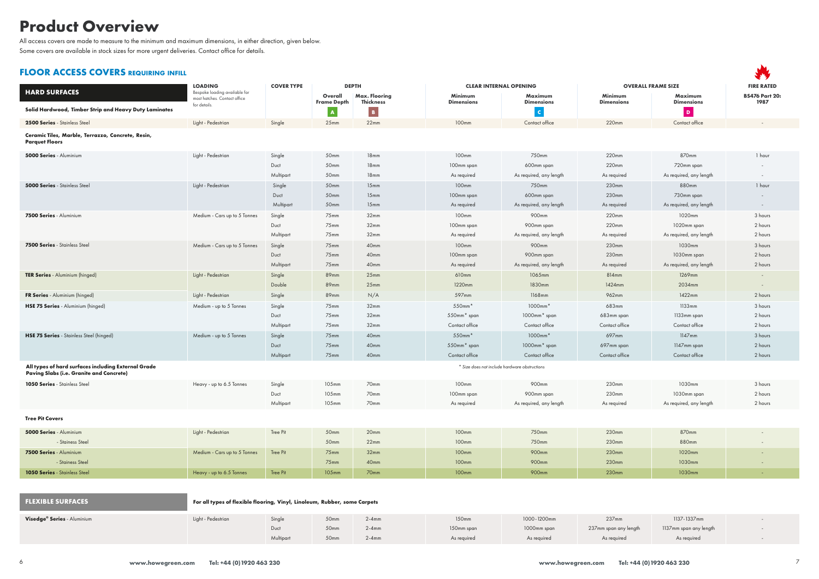

|                                                                                                        | <b>LOADING</b>                                                            | <b>COVER TYPE</b> | <b>DEPTH</b>                       |                                                 | <b>CLEAR INTERNAL OPENING</b> |                                               | <b>OVERALL FRAME SIZE</b> |                                | <b>FIRE RATED</b>        |
|--------------------------------------------------------------------------------------------------------|---------------------------------------------------------------------------|-------------------|------------------------------------|-------------------------------------------------|-------------------------------|-----------------------------------------------|---------------------------|--------------------------------|--------------------------|
| <b>HARD SURFACES</b>                                                                                   | Bespoke loading available for<br>most hatches. Contact office             |                   | Overall                            | <b>Max. Flooring</b>                            | Minimum                       | Maximum                                       | Minimum                   | <b>Maximum</b>                 | <b>BS476 Part 20:</b>    |
| Solid Hardwood, Timber Strip and Heavy Duty Laminates                                                  | for details.                                                              |                   | <b>Frame Depth</b><br>$\mathbf{A}$ | <b>Thickness</b><br>$\vert\vert\mathbf{B}\vert$ | <b>Dimensions</b>             | <b>Dimensions</b><br>$\mathbf{C}$             | <b>Dimensions</b>         | <b>Dimensions</b><br>$\vert$ D | 1987                     |
| 2500 Series - Stainless Steel                                                                          | Light - Pedestrian                                                        | Single            | 25mm                               | 22mm                                            | 100mm                         | Contact office                                | 220mm                     | Contact office                 | $\sim$                   |
| Ceramic Tiles, Marble, Terrazzo, Concrete, Resin,<br><b>Parquet Floors</b>                             |                                                                           |                   |                                    |                                                 |                               |                                               |                           |                                |                          |
| 5000 Series - Aluminium                                                                                | Light - Pedestrian                                                        | Single            | 50mm                               | 18mm                                            | 100mm                         | 750mm                                         | 220mm                     | 870mm                          | 1 hour                   |
|                                                                                                        |                                                                           | Duct              | 50mm                               | 18mm                                            | 100mm span                    | 600mm span                                    | 220mm                     | 720mm span                     | $\overline{\phantom{a}}$ |
|                                                                                                        |                                                                           | Multipart         | 50mm                               | 18mm                                            | As required                   | As required, any length                       | As required               | As required, any length        | $\sim$                   |
| <b>5000 Series</b> - Stainless Steel                                                                   | Light - Pedestrian                                                        | Single            | 50 <sub>mm</sub>                   | 15 <sub>mm</sub>                                | 100mm                         | 750mm                                         | 230mm                     | 880mm                          | 1 hour                   |
|                                                                                                        |                                                                           | Duct              | 50mm                               | 15mm                                            | 100mm span                    | 600mm span                                    | 230mm                     | 730mm span                     | $\sim$                   |
|                                                                                                        |                                                                           | Multipart         | 50 <sub>mm</sub>                   | 15mm                                            | As required                   | As required, any length                       | As required               | As required, any length        | $\sim$                   |
| 7500 Series - Aluminium                                                                                | Medium - Cars up to 5 Tonnes                                              | Single            | 75mm                               | 32mm                                            | 100mm                         | 900mm                                         | 220mm                     | 1020mm                         | 3 hours                  |
|                                                                                                        |                                                                           | Duct              | 75mm                               | 32mm                                            | 100mm span                    | 900mm span                                    | 220mm                     | 1020mm span                    | 2 hours                  |
|                                                                                                        |                                                                           | Multipart         | 75 <sub>mm</sub>                   | 32 <sub>mm</sub>                                | As required                   | As required, any length                       | As required               | As required, any length        | 2 hours                  |
| <b>7500 Series - Stainless Steel</b>                                                                   | Medium - Cars up to 5 Tonnes                                              | Single            | 75 <sub>mm</sub>                   | 40mm                                            | 100mm                         | 900mm                                         | 230mm                     | 1030mm                         | 3 hours                  |
|                                                                                                        |                                                                           | Duct              | 75 <sub>mm</sub>                   | 40mm                                            | 100mm span                    | 900mm span                                    | 230mm                     | 1030mm span                    | 2 hours                  |
|                                                                                                        |                                                                           | Multipart         | 75 <sub>mm</sub>                   | 40 <sub>mm</sub>                                | As required                   | As required, any length                       | As required               | As required, any length        | 2 hours                  |
| <b>TER Series</b> - Aluminium (hinged)                                                                 | Light - Pedestrian                                                        | Single            | 89mm                               | 25 <sub>mm</sub>                                | 610mm                         | 1065mm                                        | 814mm                     | 1269mm                         | $\sim$                   |
|                                                                                                        |                                                                           | Double            | 89mm                               | 25mm                                            | 1220mm                        | 1830mm                                        | 1424mm                    | 2034mm                         | $\sim$                   |
| FR Series - Aluminium (hinged)                                                                         | Light - Pedestrian                                                        | Single            | 89mm                               | N/A                                             | 597mm                         | 1168mm                                        | 962mm                     | 1422mm                         | 2 hours                  |
| HSE 75 Series - Aluminium (hinged)                                                                     | Medium - up to 5 Tonnes                                                   | Single            | 75mm                               | 32 <sub>mm</sub>                                | 550mm*                        | $1000mm*$                                     | 683mm                     | 1133mm                         | 3 hours                  |
|                                                                                                        |                                                                           | Duct              | 75mm                               | 32mm                                            | 550mm* span                   | 1000mm* span                                  | 683mm span                | 1133mm span                    | 2 hours                  |
|                                                                                                        |                                                                           | Multipart         | 75mm                               | 32mm                                            | Contact office                | Contact office                                | Contact office            | Contact office                 | 2 hours                  |
| HSE 75 Series - Stainless Steel (hinged)                                                               | Medium - up to 5 Tonnes                                                   | Single            | 75 <sub>mm</sub>                   | 40 <sub>mm</sub>                                | $550$ mm $*$                  | $1000mm*$                                     | 697mm                     | $1147$ mm                      | 3 hours                  |
|                                                                                                        |                                                                           | Duct              | 75mm                               | 40 <sub>mm</sub>                                | 550mm* span                   | 1000mm* span                                  | 697mm span                | 1147mm span                    | 2 hours                  |
|                                                                                                        |                                                                           | Multipart         | 75 <sub>mm</sub>                   | 40mm                                            | Contact office                | Contact office                                | Contact office            | Contact office                 | 2 hours                  |
| All types of hard surfaces including External Grade<br><b>Paving Slabs (i.e. Granite and Concrete)</b> |                                                                           |                   |                                    |                                                 |                               | * Size does not include hardware obstructions |                           |                                |                          |
| <b>1050 Series - Stainless Steel</b>                                                                   | Heavy - up to 6.5 Tonnes                                                  | Single            | 105mm                              | 70mm                                            | 100mm                         | 900mm                                         | 230mm                     | 1030mm                         | 3 hours                  |
|                                                                                                        |                                                                           | Duct              | 105mm                              | 70mm                                            | 100mm span                    | 900mm span                                    | 230mm                     | 1030mm span                    | 2 hours                  |
|                                                                                                        |                                                                           | Multipart         | 105mm                              | 70mm                                            | As required                   | As required, any length                       | As required               | As required, any length        | 2 hours                  |
| <b>Tree Pit Covers</b>                                                                                 |                                                                           |                   |                                    |                                                 |                               |                                               |                           |                                |                          |
| 5000 Series - Aluminium                                                                                | Light - Pedestrian                                                        | Tree Pit          | 50mm                               | 20mm                                            | 100mm                         | 750mm                                         | 230mm                     | 870mm                          |                          |
| - Stainess Steel                                                                                       |                                                                           |                   | 50mm                               | 22mm                                            | 100mm                         | 750mm                                         | 230mm                     | 880mm                          | $\sim$                   |
| 7500 Series - Aluminium                                                                                | Medium - Cars up to 5 Tonnes                                              | Tree Pit          | $75$ mm                            | 32mm                                            | 100mm                         | 900mm                                         | 230mm                     | 1020mm                         | $\sim$                   |
| - Stainess Steel                                                                                       |                                                                           |                   | $75$ mm                            | 40 <sub>mm</sub>                                | 100mm                         | 900mm                                         | 230mm                     | 1030mm                         | $\sim$                   |
| <b>1050 Series - Stainless Steel</b>                                                                   | Heavy - up to 6.5 Tonnes                                                  | Tree Pit          | 105mm                              | 70mm                                            | 100mm                         | 900mm                                         | 230mm                     | 1030mm                         | $\sim$                   |
|                                                                                                        |                                                                           |                   |                                    |                                                 |                               |                                               |                           |                                |                          |
| <b>FLEXIBLE SURFACES</b>                                                                               | For all types of flexible flooring, Vinyl, Linoleum, Rubber, some Carpets |                   |                                    |                                                 |                               |                                               |                           |                                |                          |
| Visedge <sup>®</sup> Series - Aluminium                                                                | Light - Pedestrian                                                        | Single            | 50 <sub>mm</sub>                   | $2-4mm$                                         | 150mm                         | 1000-1200mm                                   | 237mm                     | 1137-1337mm                    |                          |
|                                                                                                        |                                                                           | Duct              | 50mm                               | $2-4mm$                                         | 150mm span                    | 1000mm span                                   | 237mm span any length     | 1137mm span any length         | $\overline{\phantom{a}}$ |
|                                                                                                        |                                                                           | Multipart         | 50mm                               | $2-4mm$                                         | As required                   | As required                                   | As required               | As required                    | $\overline{\phantom{a}}$ |

# **Product Overview**

All access covers are made to measure to the minimum and maximum dimensions, in either direction, given below.

Some covers are available in stock sizes for more urgent deliveries. Contact office for details.

## **FLOOR ACCESS COVERS requiring infill**